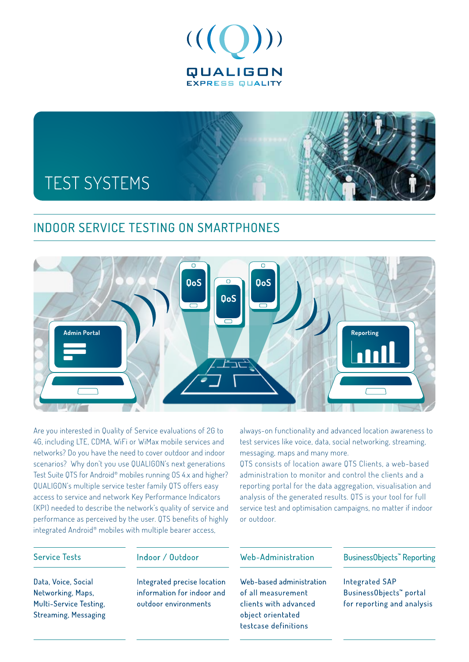



## Indoor Service Testing on Smartphones



Are you interested in Quality of Service evaluations of 2G to 4G, including LTE, CDMA, WiFi or WiMax mobile services and networks? Do you have the need to cover outdoor and indoor scenarios? Why don't you use QUALIGON's next generations Test Suite QTS for Android® mobiles running OS 4.x and higher? QUALIGON's multiple service tester family QTS offers easy access to service and network Key Performance Indicators (KPI) needed to describe the network's quality of service and performance as perceived by the user. QTS benefits of highly integrated Android® mobiles with multiple bearer access,

always-on functionality and advanced location awareness to test services like voice, data, social networking, streaming, messaging, maps and many more.

QTS consists of location aware QTS Clients, a web-based administration to monitor and control the clients and a reporting portal for the data aggregation, visualisation and analysis of the generated results. QTS is your tool for full service test and optimisation campaigns, no matter if indoor or outdoor.

### **Service Tests**

Data, Voice, Social

Networking, Maps,

Multi-Service Testing, **Streaming, Messaging**  Indoor / Outdoor

Integrated precise location information for indoor and outdoor environments

### Web-Administration

Web-based administration of all measurement clients with advanced object orientated testcase definitions

BusinessObjects<sup>"</sup> Reporting

**Integrated SAP** Business0bjects<sup>™</sup> portal for reporting and analysis